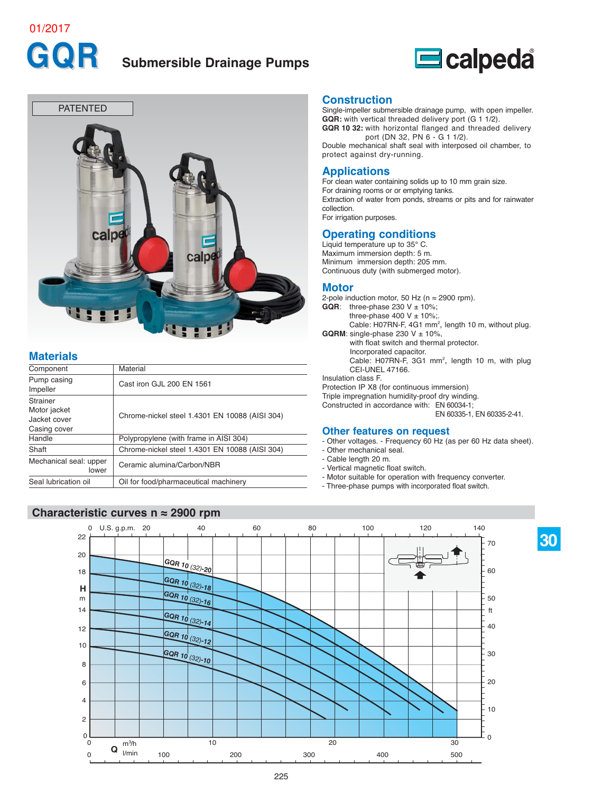#### 01/2017

## **GQR Submersible Drainage Pumps**





#### **Materials**

| Component                                                | Material                                       |
|----------------------------------------------------------|------------------------------------------------|
| Pump casing<br>Impeller                                  | Cast iron GJL 200 EN 1561                      |
| Strainer<br>Motor jacket<br>Jacket cover<br>Casing cover | Chrome-nickel steel 1.4301 EN 10088 (AISI 304) |
| Handle                                                   | Polypropylene (with frame in AISI 304)         |
| Shaft                                                    | Chrome-nickel steel 1.4301 EN 10088 (AISI 304) |
| Mechanical seal: upper<br>lower                          | Ceramic alumina/Carbon/NBR                     |
| Seal lubrication oil                                     | Oil for food/pharmaceutical machinery          |
|                                                          |                                                |

#### **Characteristic curves n ≈ 2900 rpm**

#### **Construction**

Single-impeller submersible drainage pump, with open impeller. **GQR:** with vertical threaded delivery port (G 1 1/2). **GQR 10 32:** with horizontal flanged and threaded delivery

port (DN 32, PN 6 - G 1 1/2). Double mechanical shaft seal with interposed oil chamber, to protect against dry-running.

#### **Applications**

For clean water containing solids up to 10 mm grain size. For draining rooms or or emptying tanks. Extraction of water from ponds, streams or pits and for rainwater collection. For irrigation purposes.

#### **Operating conditions**

Liquid temperature up to 35° C. Maximum immersion depth: 5 m. Minimum immersion depth: 205 mm. Continuous duty (with submerged motor).

#### **Motor**

2-pole induction motor, 50 Hz ( $n \approx 2900$  rpm). **GQR:** three-phase  $230 \text{ V} \pm 10\%$ : three-phase 400 V  $\pm$  10%; Cable: H07RN-F, 4G1 mm<sup>2</sup>, length 10 m, without plug. **GQRM**: single-phase 230  $V \pm 10\%$ . with float switch and thermal protector. Incorporated capacitor. Cable: H07RN-F, 3G1 mm<sup>2</sup>, length 10 m, with plug CEI-UNEL 47166. Insulation class F. Protection IP X8 (for continuous immersion) Triple impregnation humidity-proof dry winding. Constructed in accordance with: EN 60034-1; EN 60335-1, EN 60335-2-41.

#### **Other features on request**

- Other voltages. - Frequency 60 Hz (as per 60 Hz data sheet).

**30**

- Other mechanical seal.
- Cable length 20 m.
- Vertical magnetic float switch.
- Motor suitable for operation with frequency converter.
- Three-phase pumps with incorporated float switch.

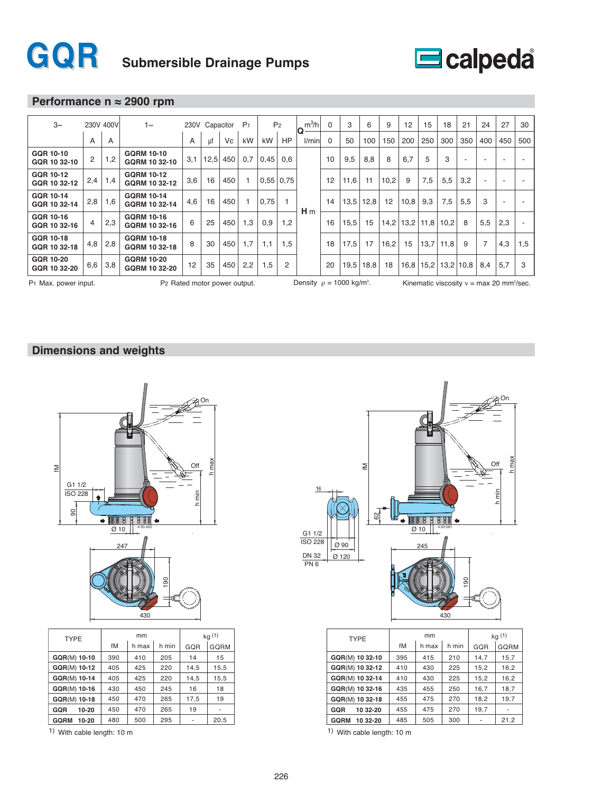



#### **Performance n ≈ 2900 rpm**

| $3\sim$                   |     | 230V 400V | $1\sim$                            | 230V |      | Capacitor | P <sub>1</sub> |             | P <sub>2</sub> | $m^3/h$<br>ΙQ  | $\Omega$ | 3    | 6    | 9    | 12   | 15   | 18            | 21                       | 24  | 27                       | 30  |
|---------------------------|-----|-----------|------------------------------------|------|------|-----------|----------------|-------------|----------------|----------------|----------|------|------|------|------|------|---------------|--------------------------|-----|--------------------------|-----|
|                           | A   | A         |                                    | A    | μf   | Vc        | kW             | kW          | HP             | Vmin           | 0        | 50   | 100  | 150  | 200  | 250  | 300           | 350                      | 400 | 450                      | 500 |
| GQR 10-10<br>GQR 10 32-10 | 2   | 1,2       | <b>GQRM 10-10</b><br>GQRM 10 32-10 | 3,1  | 12,5 | 450       | 0,7            | 0,45        | 0,6            |                | 10       | 9,5  | 8,8  | 8    | 6,7  | 5    | 3             | $\overline{\phantom{a}}$ |     | -                        |     |
| GQR 10-12<br>GQR 10 32-12 | 2,4 | 1,4       | <b>GQRM 10-12</b><br>GQRM 10 32-12 | 3,6  | 16   | 450       |                | $0,55$ 0,75 |                |                | 12       | 11,6 | 11   | 10,2 | 9    | 7,5  | 5,5           | 3,2                      | -   | -                        |     |
| GQR 10-14<br>GQR 10 32-14 | 2,8 | 1,6       | <b>GQRM 10-14</b><br>GQRM 10 32-14 | 4,6  | 16   | 450       |                | 0,75        |                | H <sub>m</sub> | 14       | 13.5 | 12,8 | 12   | 10,8 | 9,3  | 7,5           | 5,5                      | 3   | $\overline{\phantom{a}}$ |     |
| GQR 10-16<br>GQR 10 32-16 |     | 2,3       | <b>GQRM 10-16</b><br>GQRM 10 32-16 | 6    | 25   | 450       | 1,3            | 0.9         | 1,2            |                | 16       | 15,5 | 15   | 14,2 | 13,2 | 11,8 | 10,2          | 8                        | 5,5 | 2,3                      |     |
| GQR 10-18<br>GQR 10 32-18 | 4,8 | 2,8       | <b>GQRM 10-18</b><br>GQRM 10 32-18 | 8    | 30   | 450       | 1,7            | 1,1         | 1,5            |                | 18       | 17,5 | 17   | 16,2 | 15   |      | $13,7$   11,8 | 9                        |     | 4,3                      | 1,5 |
| GQR 10-20<br>GQR 10 32-20 | 6,6 | 3,8       | <b>GQRM 10-20</b><br>GQRM 10 32-20 | 12   | 35   | 450       | 2,2            | 1,5         | 2              |                | 20       | 19.5 | 18,8 | 18   | 16,8 | 15,2 | $13,2$   10,8 |                          | 8,4 | 5,7                      | 3   |

Density  $\rho = 1000$  kg/m<sup>3</sup>.

P1 Max. power input.  $P_2$  Rated motor power output. Density  $\rho = 1000$  kg/m<sup>3</sup>. Kinematic viscosity  $v = max 20$  mm<sup>2</sup>/sec.

#### **Dimensions and weights**



| <b>TYPE</b>          |     | mm    | kq(1) |      |      |
|----------------------|-----|-------|-------|------|------|
|                      | fM  | h max | h min | GQR  | GQRM |
| GQR(M) 10-10         | 390 | 410   | 205   | 14   | 15   |
| GQR(M) 10-12         | 405 | 425   | 220   | 14.5 | 15,5 |
| GQR(M) 10-14         | 405 | 425   | 220   | 14,5 | 15,5 |
| GQR(M) 10-16         | 430 | 450   | 245   | 16   | 18   |
| GQR(M) 10-18         | 450 | 470   | 265   | 17,5 | 19   |
| <b>GQR</b><br>10-20  | 450 | 470   | 265   | 19   |      |
| <b>GQRM</b><br>10-20 | 480 | 500   | 295   | ٠    | 20,5 |

1) With cable length: 10 m  $\frac{1}{1}$  With cable length: 10 m



| mm  |       |                          | kq(1) |
|-----|-------|--------------------------|-------|
| max | h min | GQR                      | GQRM  |
| 110 | 205   | 14                       | 15    |
| 125 | 220   | 14,5                     | 15,5  |
| 125 | 220   | 14,5                     | 15,5  |
| 150 | 245   | 16                       | 18    |
| 170 | 265   | 17,5                     | 19    |
| 170 | 265   | 19                       |       |
| 500 | 295   | $\overline{\phantom{a}}$ | 20,5  |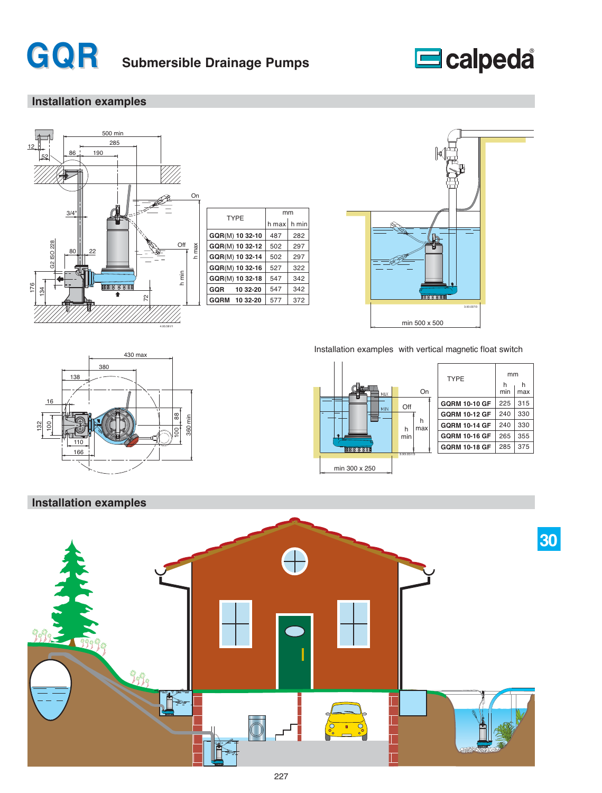

### **Installation examples**



| <b>TYPF</b>     | mm          |     |  |  |  |  |
|-----------------|-------------|-----|--|--|--|--|
|                 | h max h min |     |  |  |  |  |
| GQR(M) 10 32-10 | 487         | 282 |  |  |  |  |
| GQR(M) 10 32-12 | 502         | 297 |  |  |  |  |
| GQR(M) 10 32-14 | 502         | 297 |  |  |  |  |
| GQR(M) 10 32-16 | 527         | 322 |  |  |  |  |
| GQR(M) 10 32-18 | 547         | 342 |  |  |  |  |
| GQR<br>10 32-20 | 547         | 342 |  |  |  |  |
| GQRM 10 32-20   | 577         | 372 |  |  |  |  |





Installation examples with vertical magnetic float switch